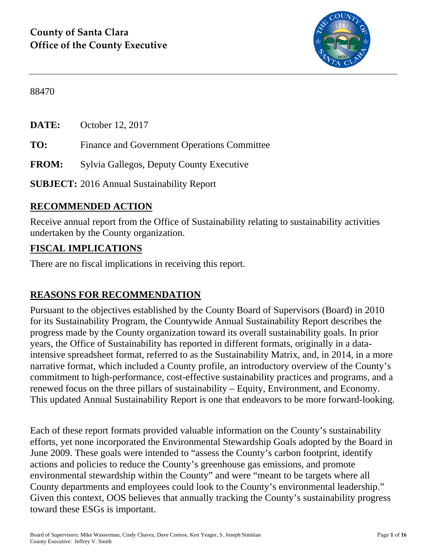

88470

**DATE:** October 12, 2017

**TO:** Finance and Government Operations Committee

**FROM:** Sylvia Gallegos, Deputy County Executive

**SUBJECT:** 2016 Annual Sustainability Report

## **RECOMMENDED ACTION**

Receive annual report from the Office of Sustainability relating to sustainability activities undertaken by the County organization.

### **FISCAL IMPLICATIONS**

There are no fiscal implications in receiving this report.

## **REASONS FOR RECOMMENDATION**

Pursuant to the objectives established by the County Board of Supervisors (Board) in 2010 for its Sustainability Program, the Countywide Annual Sustainability Report describes the progress made by the County organization toward its overall sustainability goals. In prior years, the Office of Sustainability has reported in different formats, originally in a dataintensive spreadsheet format, referred to as the Sustainability Matrix, and, in 2014, in a more narrative format, which included a County profile, an introductory overview of the County's commitment to high-performance, cost-effective sustainability practices and programs, and a renewed focus on the three pillars of sustainability – Equity, Environment, and Economy. This updated Annual Sustainability Report is one that endeavors to be more forward-looking.

Each of these report formats provided valuable information on the County's sustainability efforts, yet none incorporated the Environmental Stewardship Goals adopted by the Board in June 2009. These goals were intended to "assess the County's carbon footprint, identify actions and policies to reduce the County's greenhouse gas emissions, and promote environmental stewardship within the County" and were "meant to be targets where all County departments and employees could look to the County's environmental leadership." Given this context, OOS believes that annually tracking the County's sustainability progress toward these ESGs is important.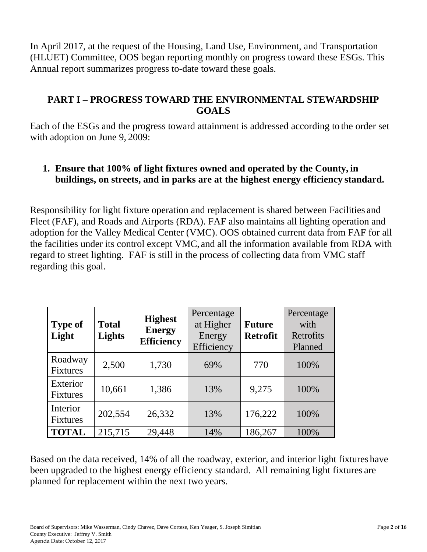In April 2017, at the request of the Housing, Land Use, Environment, and Transportation (HLUET) Committee, OOS began reporting monthly on progress toward these ESGs. This Annual report summarizes progress to-date toward these goals.

### **PART I – PROGRESS TOWARD THE ENVIRONMENTAL STEWARDSHIP GOALS**

Each of the ESGs and the progress toward attainment is addressed according to the order set with adoption on June 9, 2009:

## **1. Ensure that 100% of light fixtures owned and operated by the County, in buildings, on streets, and in parks are at the highest energy efficiency standard.**

Responsibility for light fixture operation and replacement is shared between Facilities and Fleet (FAF), and Roads and Airports (RDA). FAF also maintains all lighting operation and adoption for the Valley Medical Center (VMC). OOS obtained current data from FAF for all the facilities under its control except VMC, and all the information available from RDA with regard to street lighting. FAF is still in the process of collecting data from VMC staff regarding this goal.

| <b>Type of</b><br>Light     | <b>Total</b><br>Lights | <b>Highest</b><br><b>Energy</b><br><b>Efficiency</b> | Percentage<br>at Higher<br>Energy<br>Efficiency | <b>Future</b><br><b>Retrofit</b> | Percentage<br>with<br>Retrofits<br>Planned |
|-----------------------------|------------------------|------------------------------------------------------|-------------------------------------------------|----------------------------------|--------------------------------------------|
| Roadway<br><b>Fixtures</b>  | 2,500                  | 1,730                                                | 69%                                             | 770                              | 100%                                       |
| Exterior<br><b>Fixtures</b> | 10,661                 | 1,386                                                | 13%                                             | 9,275                            | 100%                                       |
| Interior<br><b>Fixtures</b> | 202,554                | 26,332                                               | 13%                                             | 176,222                          | 100%                                       |
| <b>TOTAL</b>                | 215,715                | 29,448                                               | 14%                                             | 186,267                          | 100%                                       |

Based on the data received, 14% of all the roadway, exterior, and interior light fixtures have been upgraded to the highest energy efficiency standard. All remaining light fixtures are planned for replacement within the next two years.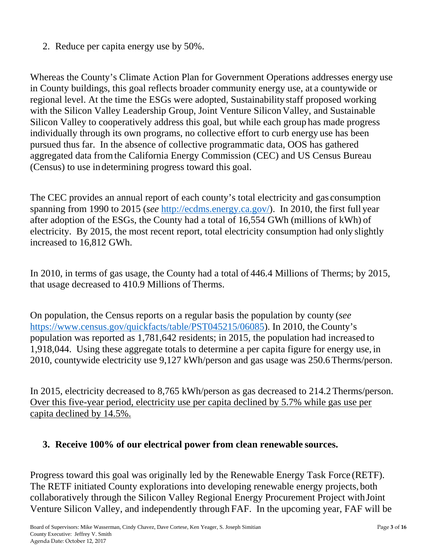2. Reduce per capita energy use by 50%.

Whereas the County's Climate Action Plan for Government Operations addresses energy use in County buildings, this goal reflects broader community energy use, at a countywide or regional level. At the time the ESGs were adopted, Sustainability staff proposed working with the Silicon Valley Leadership Group, Joint Venture Silicon Valley, and Sustainable Silicon Valley to cooperatively address this goal, but while each group has made progress individually through its own programs, no collective effort to curb energy use has been pursued thus far. In the absence of collective programmatic data, OOS has gathered aggregated data from the California Energy Commission (CEC) and US Census Bureau (Census) to use in determining progress toward this goal.

The CEC provides an annual report of each county's total electricity and gas consumption spanning from 1990 to 2015 (*see* http://ecdms.energy.ca.gov/). In 2010, the first full year after adoption of the ESGs, the County had a total of 16,554 GWh (millions of kWh) of electricity. By 2015, the most recent report, total electricity consumption had only slightly increased to 16,812 GWh.

In 2010, in terms of gas usage, the County had a total of 446.4 Millions of Therms; by 2015, that usage decreased to 410.9 Millions of Therms.

On population, the Census reports on a regular basis the population by county (*see*  https://www.census.gov/quickfacts/table/PST045215/06085). In 2010, the County's population was reported as 1,781,642 residents; in 2015, the population had increased to 1,918,044. Using these aggregate totals to determine a per capita figure for energy use, in 2010, countywide electricity use 9,127 kWh/person and gas usage was 250.6 Therms/person.

In 2015, electricity decreased to 8,765 kWh/person as gas decreased to 214.2 Therms/person. Over this five-year period, electricity use per capita declined by 5.7% while gas use per capita declined by 14.5%.

### **3. Receive 100% of our electrical power from clean renewable sources.**

Progress toward this goal was originally led by the Renewable Energy Task Force (RETF). The RETF initiated County explorations into developing renewable energy projects, both collaboratively through the Silicon Valley Regional Energy Procurement Project with Joint Venture Silicon Valley, and independently through FAF. In the upcoming year, FAF will be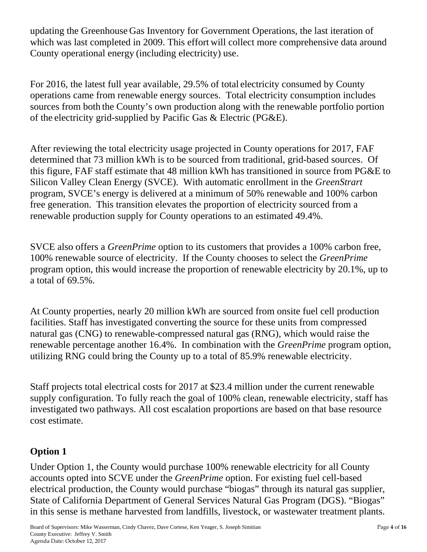updating the Greenhouse Gas Inventory for Government Operations, the last iteration of which was last completed in 2009. This effort will collect more comprehensive data around County operational energy (including electricity) use.

For 2016, the latest full year available, 29.5% of total electricity consumed by County operations came from renewable energy sources. Total electricity consumption includes sources from both the County's own production along with the renewable portfolio portion of the electricity grid-supplied by Pacific Gas & Electric (PG&E).

After reviewing the total electricity usage projected in County operations for 2017, FAF determined that 73 million kWh is to be sourced from traditional, grid-based sources. Of this figure, FAF staff estimate that 48 million kWh has transitioned in source from PG&E to Silicon Valley Clean Energy (SVCE). With automatic enrollment in the *GreenStrart* program, SVCE's energy is delivered at a minimum of 50% renewable and 100% carbon free generation. This transition elevates the proportion of electricity sourced from a renewable production supply for County operations to an estimated 49.4%.

SVCE also offers a *GreenPrime* option to its customers that provides a 100% carbon free, 100% renewable source of electricity. If the County chooses to select the *GreenPrime*  program option, this would increase the proportion of renewable electricity by 20.1%, up to a total of 69.5%.

At County properties, nearly 20 million kWh are sourced from onsite fuel cell production facilities. Staff has investigated converting the source for these units from compressed natural gas (CNG) to renewable-compressed natural gas (RNG), which would raise the renewable percentage another 16.4%. In combination with the *GreenPrime* program option, utilizing RNG could bring the County up to a total of 85.9% renewable electricity.

Staff projects total electrical costs for 2017 at \$23.4 million under the current renewable supply configuration. To fully reach the goal of 100% clean, renewable electricity, staff has investigated two pathways. All cost escalation proportions are based on that base resource cost estimate.

# **Option 1**

Under Option 1, the County would purchase 100% renewable electricity for all County accounts opted into SCVE under the *GreenPrime* option. For existing fuel cell-based electrical production, the County would purchase "biogas" through its natural gas supplier, State of California Department of General Services Natural Gas Program (DGS). "Biogas" in this sense is methane harvested from landfills, livestock, or wastewater treatment plants.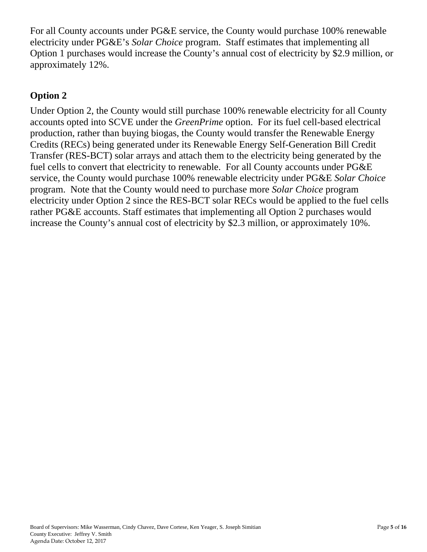For all County accounts under PG&E service, the County would purchase 100% renewable electricity under PG&E's *Solar Choice* program. Staff estimates that implementing all Option 1 purchases would increase the County's annual cost of electricity by \$2.9 million, or approximately 12%.

### **Option 2**

Under Option 2, the County would still purchase 100% renewable electricity for all County accounts opted into SCVE under the *GreenPrime* option. For its fuel cell-based electrical production, rather than buying biogas, the County would transfer the Renewable Energy Credits (RECs) being generated under its Renewable Energy Self-Generation Bill Credit Transfer (RES-BCT) solar arrays and attach them to the electricity being generated by the fuel cells to convert that electricity to renewable. For all County accounts under PG&E service, the County would purchase 100% renewable electricity under PG&E *Solar Choice* program. Note that the County would need to purchase more *Solar Choice* program electricity under Option 2 since the RES-BCT solar RECs would be applied to the fuel cells rather PG&E accounts. Staff estimates that implementing all Option 2 purchases would increase the County's annual cost of electricity by \$2.3 million, or approximately 10%.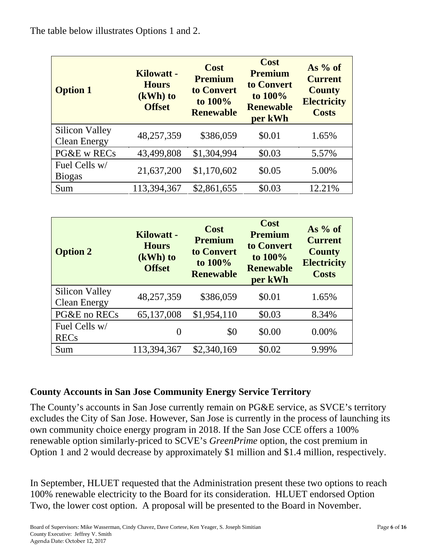| <b>Option 1</b>                       | <b>Kilowatt -</b><br><b>Hours</b><br>$(kWh)$ to<br><b>Offset</b> | <b>Cost</b><br><b>Premium</b><br>to Convert<br>to 100%<br><b>Renewable</b> | Cost<br><b>Premium</b><br>to Convert<br>to 100%<br><b>Renewable</b><br>per kWh | As $%$ of<br><b>Current</b><br><b>County</b><br><b>Electricity</b><br><b>Costs</b> |
|---------------------------------------|------------------------------------------------------------------|----------------------------------------------------------------------------|--------------------------------------------------------------------------------|------------------------------------------------------------------------------------|
| Silicon Valley<br><b>Clean Energy</b> | 48,257,359                                                       | \$386,059                                                                  | \$0.01                                                                         | 1.65%                                                                              |
| PG&E w RECs                           | 43,499,808                                                       | \$1,304,994                                                                | \$0.03                                                                         | 5.57%                                                                              |
| Fuel Cells w/<br><b>Biogas</b>        | 21,637,200                                                       | \$1,170,602                                                                | \$0.05                                                                         | 5.00%                                                                              |
| Sum                                   | 113,394,367                                                      | \$2,861,655                                                                | \$0.03                                                                         | 12.21%                                                                             |

| <b>Option 2</b>                              | Kilowatt -<br><b>Hours</b><br>(kWh) to<br><b>Offset</b> | Cost<br><b>Premium</b><br>to Convert<br>to 100%<br><b>Renewable</b> | Cost<br><b>Premium</b><br>to Convert<br>to 100%<br><b>Renewable</b><br>per kWh | As $%$ of<br><b>Current</b><br><b>County</b><br><b>Electricity</b><br><b>Costs</b> |
|----------------------------------------------|---------------------------------------------------------|---------------------------------------------------------------------|--------------------------------------------------------------------------------|------------------------------------------------------------------------------------|
| <b>Silicon Valley</b><br><b>Clean Energy</b> | 48,257,359                                              | \$386,059                                                           | \$0.01                                                                         | 1.65%                                                                              |
| PG&E no RECs                                 | 65,137,008                                              | \$1,954,110                                                         | \$0.03                                                                         | 8.34%                                                                              |
| Fuel Cells w/<br><b>RECs</b>                 | 0                                                       | \$0                                                                 | \$0.00                                                                         | $0.00\%$                                                                           |
| Sum                                          | 113,394,367                                             | \$2,340,169                                                         | \$0.02                                                                         | 9.99%                                                                              |

## **County Accounts in San Jose Community Energy Service Territory**

The County's accounts in San Jose currently remain on PG&E service, as SVCE's territory excludes the City of San Jose. However, San Jose is currently in the process of launching its own community choice energy program in 2018. If the San Jose CCE offers a 100% renewable option similarly-priced to SCVE's *GreenPrime* option, the cost premium in Option 1 and 2 would decrease by approximately \$1 million and \$1.4 million, respectively.

In September, HLUET requested that the Administration present these two options to reach 100% renewable electricity to the Board for its consideration. HLUET endorsed Option Two, the lower cost option. A proposal will be presented to the Board in November.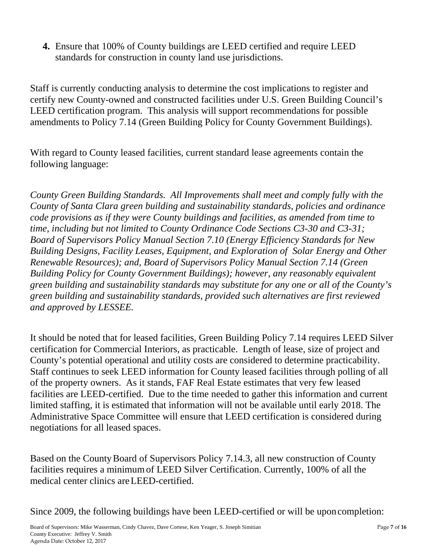**4.** Ensure that 100% of County buildings are LEED certified and require LEED standards for construction in county land use jurisdictions.

Staff is currently conducting analysis to determine the cost implications to register and certify new County-owned and constructed facilities under U.S. Green Building Council's LEED certification program. This analysis will support recommendations for possible amendments to Policy 7.14 (Green Building Policy for County Government Buildings).

With regard to County leased facilities, current standard lease agreements contain the following language:

*County Green Building Standards. All Improvements shall meet and comply fully with the County of Santa Clara green building and sustainability standards, policies and ordinance code provisions as if they were County buildings and facilities, as amended from time to time, including but not limited to County Ordinance Code Sections C3-30 and C3-31; Board of Supervisors Policy Manual Section 7.10 (Energy Efficiency Standards for New Building Designs, Facility Leases, Equipment, and Exploration of Solar Energy and Other Renewable Resources); and, Board of Supervisors Policy Manual Section 7.14 (Green Building Policy for County Government Buildings); however, any reasonably equivalent green building and sustainability standards may substitute for any one or all of the County's green building and sustainability standards, provided such alternatives are first reviewed and approved by LESSEE.* 

It should be noted that for leased facilities, Green Building Policy 7.14 requires LEED Silver certification for Commercial Interiors, as practicable. Length of lease, size of project and County's potential operational and utility costs are considered to determine practicability. Staff continues to seek LEED information for County leased facilities through polling of all of the property owners. As it stands, FAF Real Estate estimates that very few leased facilities are LEED-certified. Due to the time needed to gather this information and current limited staffing, it is estimated that information will not be available until early 2018. The Administrative Space Committee will ensure that LEED certification is considered during negotiations for all leased spaces.

Based on the County Board of Supervisors Policy 7.14.3, all new construction of County facilities requires a minimum of LEED Silver Certification. Currently, 100% of all the medical center clinics are LEED-certified.

Since 2009, the following buildings have been LEED-certified or will be upon completion: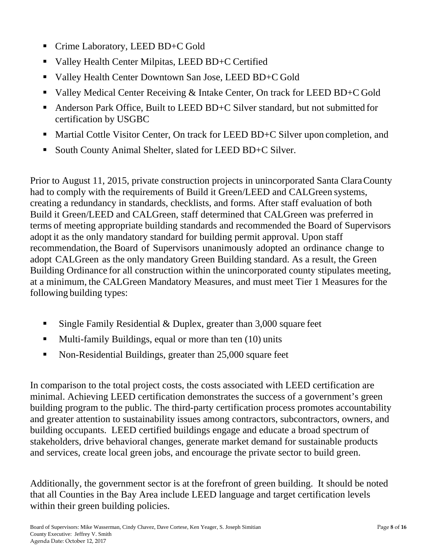- Crime Laboratory, LEED BD+C Gold
- Valley Health Center Milpitas, LEED BD+C Certified
- Valley Health Center Downtown San Jose, LEED BD+C Gold
- Valley Medical Center Receiving & Intake Center, On track for LEED BD+C Gold
- Anderson Park Office, Built to LEED BD+C Silver standard, but not submitted for certification by USGBC
- Martial Cottle Visitor Center, On track for LEED BD+C Silver upon completion, and
- South County Animal Shelter, slated for LEED BD+C Silver.

Prior to August 11, 2015, private construction projects in unincorporated Santa Clara County had to comply with the requirements of Build it Green/LEED and CALGreen systems, creating a redundancy in standards, checklists, and forms. After staff evaluation of both Build it Green/LEED and CALGreen, staff determined that CALGreen was preferred in terms of meeting appropriate building standards and recommended the Board of Supervisors adopt it as the only mandatory standard for building permit approval. Upon staff recommendation, the Board of Supervisors unanimously adopted an ordinance change to adopt CALGreen as the only mandatory Green Building standard. As a result, the Green Building Ordinance for all construction within the unincorporated county stipulates meeting, at a minimum, the CALGreen Mandatory Measures, and must meet Tier 1 Measures for the following building types:

- Single Family Residential & Duplex, greater than  $3,000$  square feet
- **Multi-family Buildings, equal or more than ten (10) units**
- Non-Residential Buildings, greater than 25,000 square feet

In comparison to the total project costs, the costs associated with LEED certification are minimal. Achieving LEED certification demonstrates the success of a government's green building program to the public. The third-party certification process promotes accountability and greater attention to sustainability issues among contractors, subcontractors, owners, and building occupants. LEED certified buildings engage and educate a broad spectrum of stakeholders, drive behavioral changes, generate market demand for sustainable products and services, create local green jobs, and encourage the private sector to build green.

Additionally, the government sector is at the forefront of green building. It should be noted that all Counties in the Bay Area include LEED language and target certification levels within their green building policies.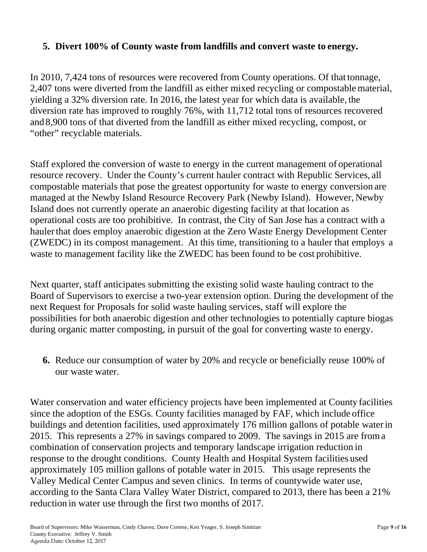#### **5. Divert 100% of County waste from landfills and convert waste to energy.**

In 2010, 7,424 tons of resources were recovered from County operations. Of that tonnage, 2,407 tons were diverted from the landfill as either mixed recycling or compostable material, yielding a 32% diversion rate. In 2016, the latest year for which data is available, the diversion rate has improved to roughly 76%, with 11,712 total tons of resources recovered and 8,900 tons of that diverted from the landfill as either mixed recycling, compost, or "other" recyclable materials.

Staff explored the conversion of waste to energy in the current management of operational resource recovery. Under the County's current hauler contract with Republic Services, all compostable materials that pose the greatest opportunity for waste to energy conversion are managed at the Newby Island Resource Recovery Park (Newby Island). However, Newby Island does not currently operate an anaerobic digesting facility at that location as operational costs are too prohibitive. In contrast, the City of San Jose has a contract with a hauler that does employ anaerobic digestion at the Zero Waste Energy Development Center (ZWEDC) in its compost management. At this time, transitioning to a hauler that employs a waste to management facility like the ZWEDC has been found to be cost prohibitive.

Next quarter, staff anticipates submitting the existing solid waste hauling contract to the Board of Supervisors to exercise a two-year extension option. During the development of the next Request for Proposals for solid waste hauling services, staff will explore the possibilities for both anaerobic digestion and other technologies to potentially capture biogas during organic matter composting, in pursuit of the goal for converting waste to energy.

**6.** Reduce our consumption of water by 20% and recycle or beneficially reuse 100% of our waste water.

Water conservation and water efficiency projects have been implemented at County facilities since the adoption of the ESGs. County facilities managed by FAF, which include office buildings and detention facilities, used approximately 176 million gallons of potable water in 2015. This represents a 27% in savings compared to 2009. The savings in 2015 are from a combination of conservation projects and temporary landscape irrigation reduction in response to the drought conditions. County Health and Hospital System facilities used approximately 105 million gallons of potable water in 2015. This usage represents the Valley Medical Center Campus and seven clinics. In terms of countywide water use, according to the Santa Clara Valley Water District, compared to 2013, there has been a 21% reduction in water use through the first two months of 2017.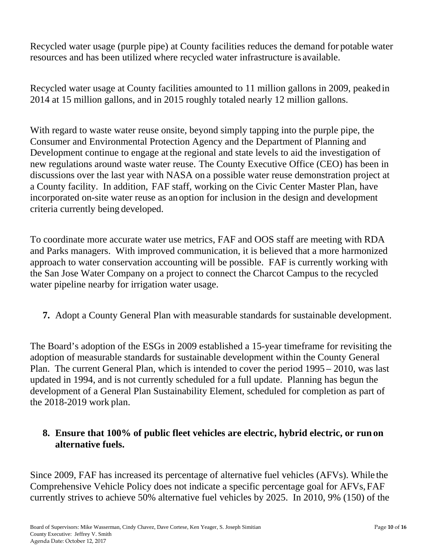Recycled water usage (purple pipe) at County facilities reduces the demand for potable water resources and has been utilized where recycled water infrastructure is available.

Recycled water usage at County facilities amounted to 11 million gallons in 2009, peaked in 2014 at 15 million gallons, and in 2015 roughly totaled nearly 12 million gallons.

With regard to waste water reuse onsite, beyond simply tapping into the purple pipe, the Consumer and Environmental Protection Agency and the Department of Planning and Development continue to engage at the regional and state levels to aid the investigation of new regulations around waste water reuse. The County Executive Office (CEO) has been in discussions over the last year with NASA on a possible water reuse demonstration project at a County facility. In addition, FAF staff, working on the Civic Center Master Plan, have incorporated on-site water reuse as an option for inclusion in the design and development criteria currently being developed.

To coordinate more accurate water use metrics, FAF and OOS staff are meeting with RDA and Parks managers. With improved communication, it is believed that a more harmonized approach to water conservation accounting will be possible. FAF is currently working with the San Jose Water Company on a project to connect the Charcot Campus to the recycled water pipeline nearby for irrigation water usage.

**7.** Adopt a County General Plan with measurable standards for sustainable development.

The Board's adoption of the ESGs in 2009 established a 15-year timeframe for revisiting the adoption of measurable standards for sustainable development within the County General Plan. The current General Plan, which is intended to cover the period 1995 – 2010, was last updated in 1994, and is not currently scheduled for a full update. Planning has begun the development of a General Plan Sustainability Element, scheduled for completion as part of the 2018-2019 work plan.

### **8. Ensure that 100% of public fleet vehicles are electric, hybrid electric, or run on alternative fuels.**

Since 2009, FAF has increased its percentage of alternative fuel vehicles (AFVs). While the Comprehensive Vehicle Policy does not indicate a specific percentage goal for AFVs, FAF currently strives to achieve 50% alternative fuel vehicles by 2025. In 2010, 9% (150) of the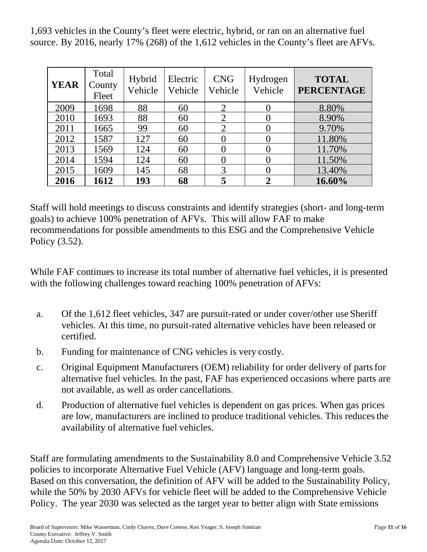1,693 vehicles in the County's fleet were electric, hybrid, or ran on an alternative fuel source. By 2016, nearly 17% (268) of the 1,612 vehicles in the County's fleet are AFVs.

| <b>YEAR</b> | Total<br>County<br>Fleet | Hybrid<br>Vehicle | Electric<br>Vehicle | <b>CNG</b><br>Vehicle | Hydrogen<br>Vehicle | <b>TOTAL</b><br><b>PERCENTAGE</b> |
|-------------|--------------------------|-------------------|---------------------|-----------------------|---------------------|-----------------------------------|
| 2009        | 1698                     | 88                | 60                  | ◠                     |                     | 8.80%                             |
| 2010        | 1693                     | 88                | 60                  | $\overline{2}$        |                     | 8.90%                             |
| 2011        | 1665                     | 99                | 60                  | $\overline{2}$        |                     | 9.70%                             |
| 2012        | 1587                     | 127               | 60                  |                       |                     | 11.80%                            |
| 2013        | 1569                     | 124               | 60                  |                       |                     | 11.70%                            |
| 2014        | 1594                     | 124               | 60                  | $\Omega$              |                     | 11.50%                            |
| 2015        | 1609                     | 145               | 68                  | 3                     |                     | 13.40%                            |
| 2016        | 1612                     | 193               | 68                  | 5                     |                     | 16.60%                            |

Staff will hold meetings to discuss constraints and identify strategies (short- and long-term goals) to achieve 100% penetration of AFVs. This will allow FAF to make recommendations for possible amendments to this ESG and the Comprehensive Vehicle Policy (3.52).

While FAF continues to increase its total number of alternative fuel vehicles, it is presented with the following challenges toward reaching 100% penetration of AFVs:

- a. Of the 1,612 fleet vehicles, 347 are pursuit-rated or under cover/other use Sheriff vehicles. At this time, no pursuit-rated alternative vehicles have been released or certified.
- b. Funding for maintenance of CNG vehicles is very costly.
- c. Original Equipment Manufacturers (OEM) reliability for order delivery of parts for alternative fuel vehicles. In the past, FAF has experienced occasions where parts are not available, as well as order cancellations.
- d. Production of alternative fuel vehicles is dependent on gas prices. When gas prices are low, manufacturers are inclined to produce traditional vehicles. This reduces the availability of alternative fuel vehicles.

Staff are formulating amendments to the Sustainability 8.0 and Comprehensive Vehicle 3.52 policies to incorporate Alternative Fuel Vehicle (AFV) language and long-term goals. Based on this conversation, the definition of AFV will be added to the Sustainability Policy, while the 50% by 2030 AFVs for vehicle fleet will be added to the Comprehensive Vehicle Policy. The year 2030 was selected as the target year to better align with State emissions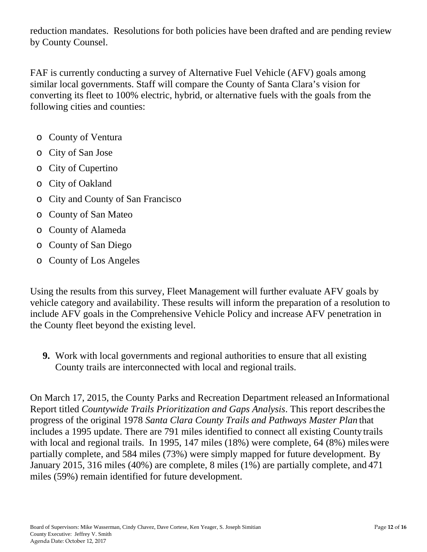reduction mandates. Resolutions for both policies have been drafted and are pending review by County Counsel.

FAF is currently conducting a survey of Alternative Fuel Vehicle (AFV) goals among similar local governments. Staff will compare the County of Santa Clara's vision for converting its fleet to 100% electric, hybrid, or alternative fuels with the goals from the following cities and counties:

- o County of Ventura
- o City of San Jose
- o City of Cupertino
- o City of Oakland
- o City and County of San Francisco
- o County of San Mateo
- o County of Alameda
- o County of San Diego
- o County of Los Angeles

Using the results from this survey, Fleet Management will further evaluate AFV goals by vehicle category and availability. These results will inform the preparation of a resolution to include AFV goals in the Comprehensive Vehicle Policy and increase AFV penetration in the County fleet beyond the existing level.

**9.** Work with local governments and regional authorities to ensure that all existing County trails are interconnected with local and regional trails.

On March 17, 2015, the County Parks and Recreation Department released an Informational Report titled *Countywide Trails Prioritization and Gaps Analysis*. This report describes the progress of the original 1978 *Santa Clara County Trails and Pathways Master Plan* that includes a 1995 update. There are 791 miles identified to connect all existing County trails with local and regional trails. In 1995, 147 miles (18%) were complete, 64 (8%) miles were partially complete, and 584 miles (73%) were simply mapped for future development. By January 2015, 316 miles (40%) are complete, 8 miles (1%) are partially complete, and 471 miles (59%) remain identified for future development.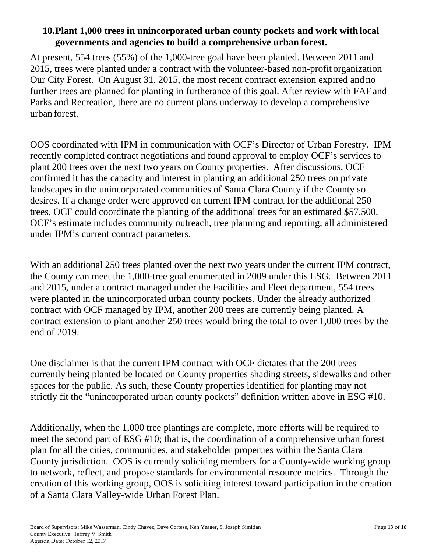### **10.Plant 1,000 trees in unincorporated urban county pockets and work with local governments and agencies to build a comprehensive urban forest.**

At present, 554 trees (55%) of the 1,000-tree goal have been planted. Between 2011 and 2015, trees were planted under a contract with the volunteer-based non-profit organization Our City Forest. On August 31, 2015, the most recent contract extension expired and no further trees are planned for planting in furtherance of this goal. After review with FAF and Parks and Recreation, there are no current plans underway to develop a comprehensive urban forest.

OOS coordinated with IPM in communication with OCF's Director of Urban Forestry. IPM recently completed contract negotiations and found approval to employ OCF's services to plant 200 trees over the next two years on County properties. After discussions, OCF confirmed it has the capacity and interest in planting an additional 250 trees on private landscapes in the unincorporated communities of Santa Clara County if the County so desires. If a change order were approved on current IPM contract for the additional 250 trees, OCF could coordinate the planting of the additional trees for an estimated \$57,500. OCF's estimate includes community outreach, tree planning and reporting, all administered under IPM's current contract parameters.

With an additional 250 trees planted over the next two years under the current IPM contract, the County can meet the 1,000-tree goal enumerated in 2009 under this ESG. Between 2011 and 2015, under a contract managed under the Facilities and Fleet department, 554 trees were planted in the unincorporated urban county pockets. Under the already authorized contract with OCF managed by IPM, another 200 trees are currently being planted. A contract extension to plant another 250 trees would bring the total to over 1,000 trees by the end of 2019.

One disclaimer is that the current IPM contract with OCF dictates that the 200 trees currently being planted be located on County properties shading streets, sidewalks and other spaces for the public. As such, these County properties identified for planting may not strictly fit the "unincorporated urban county pockets" definition written above in ESG #10.

Additionally, when the 1,000 tree plantings are complete, more efforts will be required to meet the second part of ESG #10; that is, the coordination of a comprehensive urban forest plan for all the cities, communities, and stakeholder properties within the Santa Clara County jurisdiction. OOS is currently soliciting members for a County-wide working group to network, reflect, and propose standards for environmental resource metrics. Through the creation of this working group, OOS is soliciting interest toward participation in the creation of a Santa Clara Valley-wide Urban Forest Plan.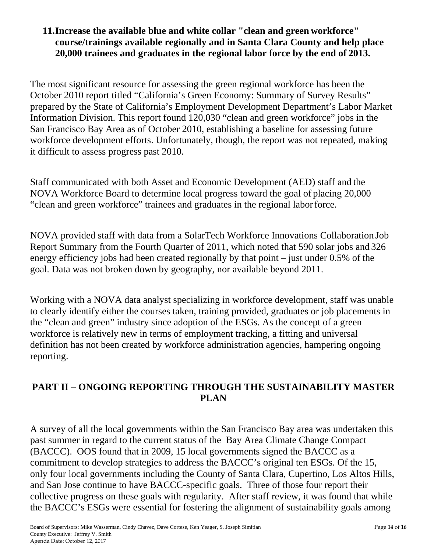#### **11.Increase the available blue and white collar "clean and green workforce" course/trainings available regionally and in Santa Clara County and help place 20,000 trainees and graduates in the regional labor force by the end of 2013.**

The most significant resource for assessing the green regional workforce has been the October 2010 report titled "California's Green Economy: Summary of Survey Results" prepared by the State of California's Employment Development Department's Labor Market Information Division. This report found 120,030 "clean and green workforce" jobs in the San Francisco Bay Area as of October 2010, establishing a baseline for assessing future workforce development efforts. Unfortunately, though, the report was not repeated, making it difficult to assess progress past 2010.

Staff communicated with both Asset and Economic Development (AED) staff and the NOVA Workforce Board to determine local progress toward the goal of placing 20,000 "clean and green workforce" trainees and graduates in the regional labor force.

NOVA provided staff with data from a SolarTech Workforce Innovations Collaboration Job Report Summary from the Fourth Quarter of 2011, which noted that 590 solar jobs and 326 energy efficiency jobs had been created regionally by that point – just under 0.5% of the goal. Data was not broken down by geography, nor available beyond 2011.

Working with a NOVA data analyst specializing in workforce development, staff was unable to clearly identify either the courses taken, training provided, graduates or job placements in the "clean and green" industry since adoption of the ESGs. As the concept of a green workforce is relatively new in terms of employment tracking, a fitting and universal definition has not been created by workforce administration agencies, hampering ongoing reporting.

# **PART II – ONGOING REPORTING THROUGH THE SUSTAINABILITY MASTER PLAN**

A survey of all the local governments within the San Francisco Bay area was undertaken this past summer in regard to the current status of the Bay Area Climate Change Compact (BACCC). OOS found that in 2009, 15 local governments signed the BACCC as a commitment to develop strategies to address the BACCC's original ten ESGs. Of the 15, only four local governments including the County of Santa Clara, Cupertino, Los Altos Hills, and San Jose continue to have BACCC-specific goals. Three of those four report their collective progress on these goals with regularity. After staff review, it was found that while the BACCC's ESGs were essential for fostering the alignment of sustainability goals among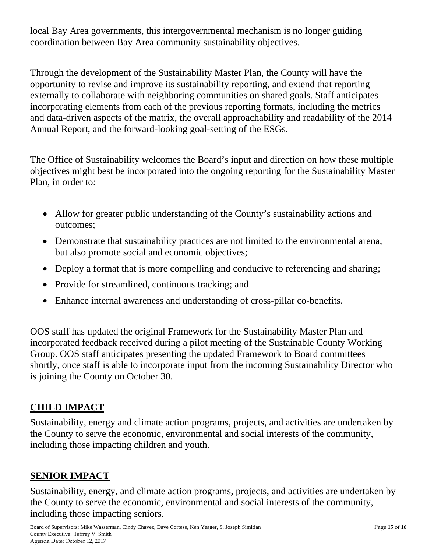local Bay Area governments, this intergovernmental mechanism is no longer guiding coordination between Bay Area community sustainability objectives.

Through the development of the Sustainability Master Plan, the County will have the opportunity to revise and improve its sustainability reporting, and extend that reporting externally to collaborate with neighboring communities on shared goals. Staff anticipates incorporating elements from each of the previous reporting formats, including the metrics and data-driven aspects of the matrix, the overall approachability and readability of the 2014 Annual Report, and the forward-looking goal-setting of the ESGs.

The Office of Sustainability welcomes the Board's input and direction on how these multiple objectives might best be incorporated into the ongoing reporting for the Sustainability Master Plan, in order to:

- Allow for greater public understanding of the County's sustainability actions and outcomes;
- Demonstrate that sustainability practices are not limited to the environmental arena, but also promote social and economic objectives;
- Deploy a format that is more compelling and conducive to referencing and sharing;
- Provide for streamlined, continuous tracking; and
- Enhance internal awareness and understanding of cross-pillar co-benefits.

OOS staff has updated the original Framework for the Sustainability Master Plan and incorporated feedback received during a pilot meeting of the Sustainable County Working Group. OOS staff anticipates presenting the updated Framework to Board committees shortly, once staff is able to incorporate input from the incoming Sustainability Director who is joining the County on October 30.

## **CHILD IMPACT**

Sustainability, energy and climate action programs, projects, and activities are undertaken by the County to serve the economic, environmental and social interests of the community, including those impacting children and youth.

## **SENIOR IMPACT**

Sustainability, energy, and climate action programs, projects, and activities are undertaken by the County to serve the economic, environmental and social interests of the community, including those impacting seniors.